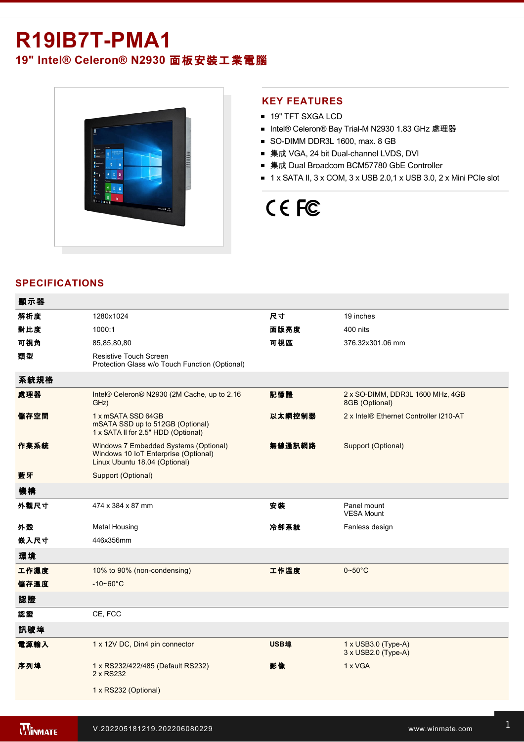## **R19IB7T-PMA1**

### **19" Intel® Celeron® N2930** 面板安裝工業電腦



### **KEY FEATURES**

- **19" TFT SXGA LCD**
- Intel® Celeron® Bay Trial-M N2930 1.83 GHz 處理器
- SO-DIMM DDR3L 1600, max. 8 GB
- 集成 VGA, 24 bit Dual-channel LVDS, DVI
- 集成 Dual Broadcom BCM57780 GbE Controller
- $\blacksquare$  1 x SATA II, 3 x COM, 3 x USB 2.0,1 x USB 3.0, 2 x Mini PCIe slot

# CE FC

### **SPECIFICATIONS**

| 顯示器  |                                                                                                                |        |                                                    |
|------|----------------------------------------------------------------------------------------------------------------|--------|----------------------------------------------------|
| 解析度  | 1280x1024                                                                                                      | 尺寸     | 19 inches                                          |
| 對比度  | 1000:1                                                                                                         | 面版亮度   | 400 nits                                           |
| 可視角  | 85,85,80,80                                                                                                    | 可視區    | 376.32x301.06 mm                                   |
| 類型   | <b>Resistive Touch Screen</b><br>Protection Glass w/o Touch Function (Optional)                                |        |                                                    |
| 系統規格 |                                                                                                                |        |                                                    |
| 處理器  | Intel® Celeron® N2930 (2M Cache, up to 2.16<br>GHz)                                                            | 記憶體    | 2 x SO-DIMM, DDR3L 1600 MHz, 4GB<br>8GB (Optional) |
| 儲存空間 | 1 x mSATA SSD 64GB<br>mSATA SSD up to 512GB (Optional)<br>1 x SATA II for 2.5" HDD (Optional)                  | 以太網控制器 | 2 x Intel® Ethernet Controller I210-AT             |
| 作業系統 | Windows 7 Embedded Systems (Optional)<br>Windows 10 IoT Enterprise (Optional)<br>Linux Ubuntu 18.04 (Optional) | 無線通訊網路 | Support (Optional)                                 |
| 藍牙   | Support (Optional)                                                                                             |        |                                                    |
| 機構   |                                                                                                                |        |                                                    |
| 外觀尺寸 | 474 x 384 x 87 mm                                                                                              | 安装     | Panel mount<br><b>VESA Mount</b>                   |
| 外殼   | <b>Metal Housing</b>                                                                                           | 冷卻系統   | Fanless design                                     |
| 嵌入尺寸 | 446x356mm                                                                                                      |        |                                                    |
| 環境   |                                                                                                                |        |                                                    |
| 工作濕度 | 10% to 90% (non-condensing)                                                                                    | 工作溫度   | $0 - 50$ °C                                        |
| 儲存溫度 | $-10 - 60^{\circ}$ C                                                                                           |        |                                                    |
| 認證   |                                                                                                                |        |                                                    |
| 認證   | CE, FCC                                                                                                        |        |                                                    |
| 訊號埠  |                                                                                                                |        |                                                    |
| 電源輸入 | 1 x 12V DC, Din4 pin connector                                                                                 | USB埠   | $1 \times$ USB3.0 (Type-A)<br>3 x USB2.0 (Type-A)  |
| 序列埠  | 1 x RS232/422/485 (Default RS232)<br>2 x RS232                                                                 | 影像     | 1 x VGA                                            |
|      | 1 x RS232 (Optional)                                                                                           |        |                                                    |
|      |                                                                                                                |        |                                                    |

Line in

1 x Led indicator for storage and storage in the storage storage in the storage storage in the storage storage